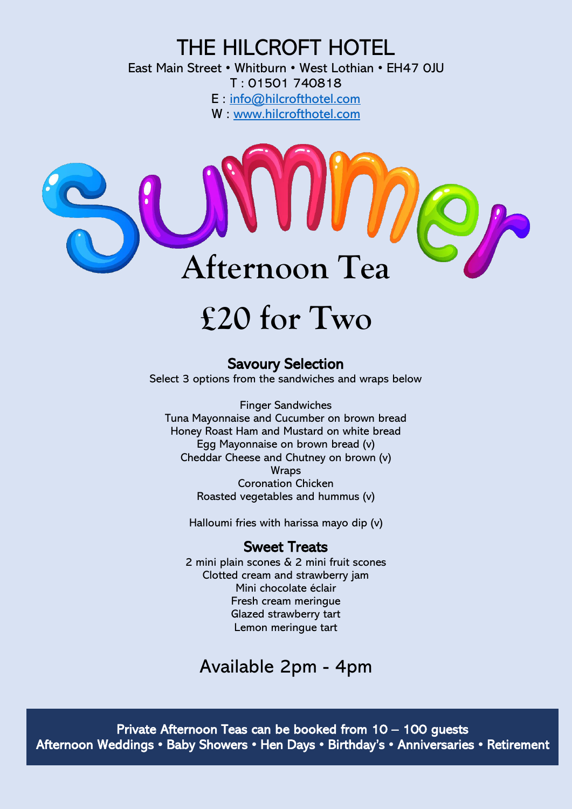## THE HILCROFT HOTEL

East Main Street • Whitburn • West Lothian • EH47 0JU T : 01501 740818 E : [info@hilcrofthotel.com](mailto:info@hilcrofthotel.com) W : [www.hilcrofthotel.com](http://www.hilcrofthotel.com/)



# **£20 for Two**

### Savoury Selection

Select 3 options from the sandwiches and wraps below

Finger Sandwiches Tuna Mayonnaise and Cucumber on brown bread Honey Roast Ham and Mustard on white bread Egg Mayonnaise on brown bread (v) Cheddar Cheese and Chutney on brown (v) **Wraps** Coronation Chicken Roasted vegetables and hummus (v)

Halloumi fries with harissa mayo dip (v)

### Sweet Treats

2 mini plain scones & 2 mini fruit scones Clotted cream and strawberry jam Mini chocolate éclair Fresh cream meringue Glazed strawberry tart Lemon meringue tart

## Available 2pm - 4pm

Private Afternoon Teas can be booked from 10 – 100 guests Afternoon Weddings • Baby Showers • Hen Days • Birthday's • Anniversaries • Retirement